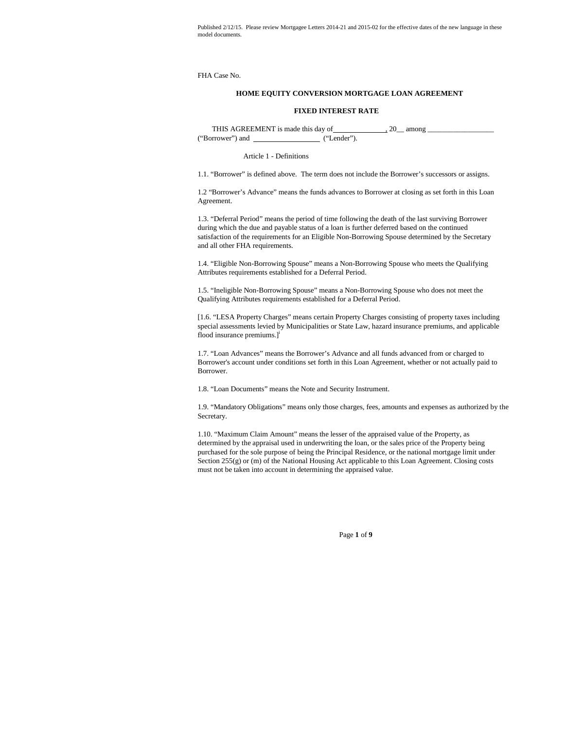FHA Case No.

# **HOME EQUITY CONVERSION MORTGAGE LOAN AGREEMENT**

### **FIXED INTEREST RATE**

THIS AGREEMENT is made this day of , 20\_\_ among \_\_\_\_\_\_\_\_\_\_\_\_\_\_\_\_\_\_ ("Borrower") and ("Lender").

Article 1 - Definitions

1.1. "Borrower" is defined above. The term does not include the Borrower's successors or assigns.

1.2 "Borrower's Advance" means the funds advances to Borrower at closing as set forth in this Loan Agreement.

1.3. "Deferral Period" means the period of time following the death of the last surviving Borrower during which the due and payable status of a loan is further deferred based on the continued satisfaction of the requirements for an Eligible Non-Borrowing Spouse determined by the Secretary and all other FHA requirements.

1.4. "Eligible Non-Borrowing Spouse" means a Non-Borrowing Spouse who meets the Qualifying Attributes requirements established for a Deferral Period.

1.5. "Ineligible Non-Borrowing Spouse" means a Non-Borrowing Spouse who does not meet the Qualifying Attributes requirements established for a Deferral Period.

[1.6. "LESA Property Charges" means certain Property Charges consisting of property taxes including special assessments levied by Municipalities or State Law, hazard insurance premiums, and applicable flood insurance premiums.]<sup>i</sup>

1.7. "Loan Advances" means the Borrower's Advance and all funds advanced from or charged to Borrower's account under conditions set forth in this Loan Agreement, whether or not actually paid to Borrower.

1.8. "Loan Documents" means the Note and Security Instrument.

1.9. "Mandatory Obligations" means only those charges, fees, amounts and expenses as authorized by the Secretary.

1.10. "Maximum Claim Amount" means the lesser of the appraised value of the Property, as determined by the appraisal used in underwriting the loan, or the sales price of the Property being purchased for the sole purpose of being the Principal Residence, or the national mortgage limit under Section 255(g) or (m) of the National Housing Act applicable to this Loan Agreement. Closing costs must not be taken into account in determining the appraised value.

Page **1** of **9**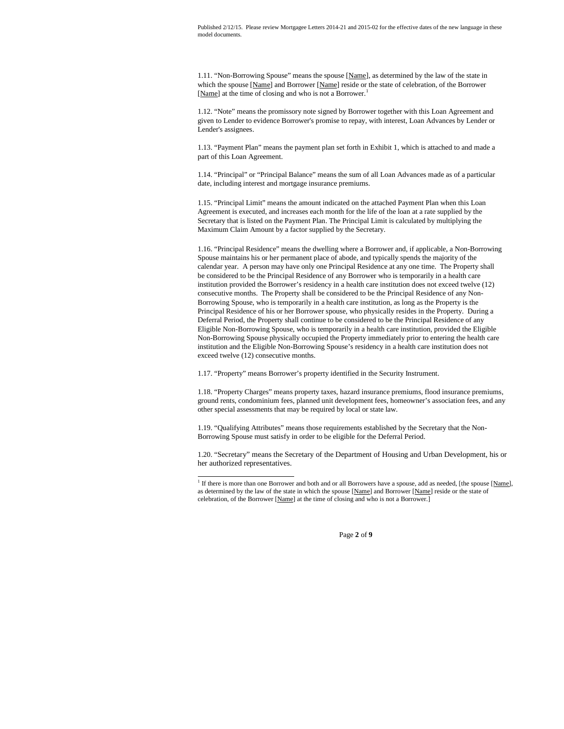1.11. "Non-Borrowing Spouse" means the spouse [Name], as determined by the law of the state in which the spouse [Name] and Borrower [Name] reside or the state of celebration, of the Borrower [Name] at the time of closing and who is not a Borrower.<sup>1</sup>

1.12. "Note" means the promissory note signed by Borrower together with this Loan Agreement and given to Lender to evidence Borrower's promise to repay, with interest, Loan Advances by Lender or Lender's assignees.

1.13. "Payment Plan" means the payment plan set forth in Exhibit 1, which is attached to and made a part of this Loan Agreement.

1.14. "Principal" or "Principal Balance" means the sum of all Loan Advances made as of a particular date, including interest and mortgage insurance premiums.

1.15. "Principal Limit" means the amount indicated on the attached Payment Plan when this Loan Agreement is executed, and increases each month for the life of the loan at a rate supplied by the Secretary that is listed on the Payment Plan. The Principal Limit is calculated by multiplying the Maximum Claim Amount by a factor supplied by the Secretary.

1.16. "Principal Residence" means the dwelling where a Borrower and, if applicable, a Non-Borrowing Spouse maintains his or her permanent place of abode, and typically spends the majority of the calendar year. A person may have only one Principal Residence at any one time. The Property shall be considered to be the Principal Residence of any Borrower who is temporarily in a health care institution provided the Borrower's residency in a health care institution does not exceed twelve (12) consecutive months. The Property shall be considered to be the Principal Residence of any Non-Borrowing Spouse, who is temporarily in a health care institution, as long as the Property is the Principal Residence of his or her Borrower spouse, who physically resides in the Property. During a Deferral Period, the Property shall continue to be considered to be the Principal Residence of any Eligible Non-Borrowing Spouse, who is temporarily in a health care institution, provided the Eligible Non-Borrowing Spouse physically occupied the Property immediately prior to entering the health care institution and the Eligible Non-Borrowing Spouse's residency in a health care institution does not exceed twelve (12) consecutive months.

1.17. "Property" means Borrower's property identified in the Security Instrument.

1.18. "Property Charges" means property taxes, hazard insurance premiums, flood insurance premiums, ground rents, condominium fees, planned unit development fees, homeowner's association fees, and any other special assessments that may be required by local or state law.

1.19. "Qualifying Attributes" means those requirements established by the Secretary that the Non-Borrowing Spouse must satisfy in order to be eligible for the Deferral Period.

1.20. "Secretary" means the Secretary of the Department of Housing and Urban Development, his or her authorized representatives.

<sup>&</sup>lt;sup>1</sup> If there is more than one Borrower and both and or all Borrowers have a spouse, add as needed, [the spouse [Name], as determined by the law of the state in which the spouse [Name] and Borrower [Name] reside or the state of celebration, of the Borrower [Name] at the time of closing and who is not a Borrower.]

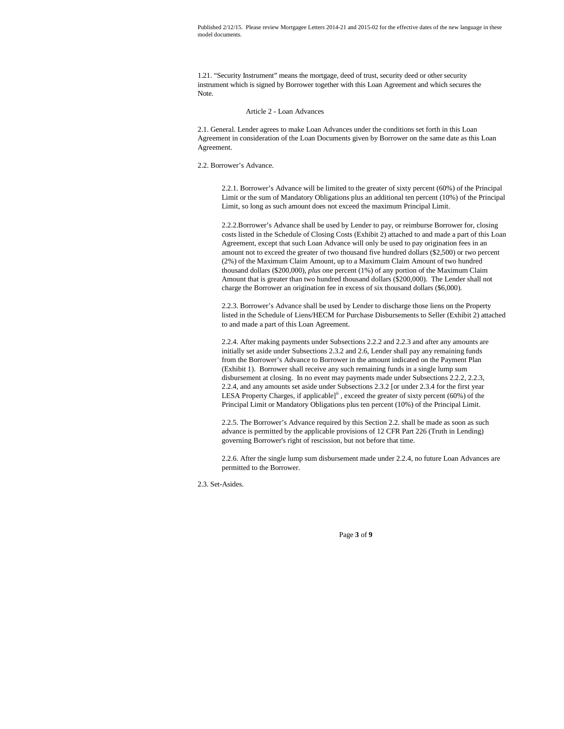1.21. "Security Instrument" means the mortgage, deed of trust, security deed or other security instrument which is signed by Borrower together with this Loan Agreement and which secures the Note.

### Article 2 - Loan Advances

2.1. General. Lender agrees to make Loan Advances under the conditions set forth in this Loan Agreement in consideration of the Loan Documents given by Borrower on the same date as this Loan Agreement.

2.2. Borrower's Advance.

2.2.1. Borrower's Advance will be limited to the greater of sixty percent (60%) of the Principal Limit or the sum of Mandatory Obligations plus an additional ten percent (10%) of the Principal Limit, so long as such amount does not exceed the maximum Principal Limit.

2.2.2.Borrower's Advance shall be used by Lender to pay, or reimburse Borrower for, closing costs listed in the Schedule of Closing Costs (Exhibit 2) attached to and made a part of this Loan Agreement, except that such Loan Advance will only be used to pay origination fees in an amount not to exceed the greater of two thousand five hundred dollars (\$2,500) or two percent (2%) of the Maximum Claim Amount, up to a Maximum Claim Amount of two hundred thousand dollars (\$200,000), *plus* one percent (1%) of any portion of the Maximum Claim Amount that is greater than two hundred thousand dollars (\$200,000). The Lender shall not charge the Borrower an origination fee in excess of six thousand dollars (\$6,000).

2.2.3. Borrower's Advance shall be used by Lender to discharge those liens on the Property listed in the Schedule of Liens/HECM for Purchase Disbursements to Seller (Exhibit 2) attached to and made a part of this Loan Agreement.

2.2.4. After making payments under Subsections 2.2.2 and 2.2.3 and after any amounts are initially set aside under Subsections 2.3.2 and 2.6, Lender shall pay any remaining funds from the Borrower's Advance to Borrower in the amount indicated on the Payment Plan (Exhibit 1). Borrower shall receive any such remaining funds in a single lump sum disbursement at closing. In no event may payments made under Subsections 2.2.2, 2.2.3, 2.2.4, and any amounts set aside under Subsections 2.3.2 [or under 2.3.4 for the first year LESA Property Charges, if applicable]<sup>ii</sup>, exceed the greater of sixty percent (60%) of the Principal Limit or Mandatory Obligations plus ten percent (10%) of the Principal Limit.

2.2.5. The Borrower's Advance required by this Section 2.2. shall be made as soon as such advance is permitted by the applicable provisions of 12 CFR Part 226 (Truth in Lending) governing Borrower's right of rescission, but not before that time.

2.2.6. After the single lump sum disbursement made under 2.2.4, no future Loan Advances are permitted to the Borrower.

2.3. Set-Asides.

Page **3** of **9**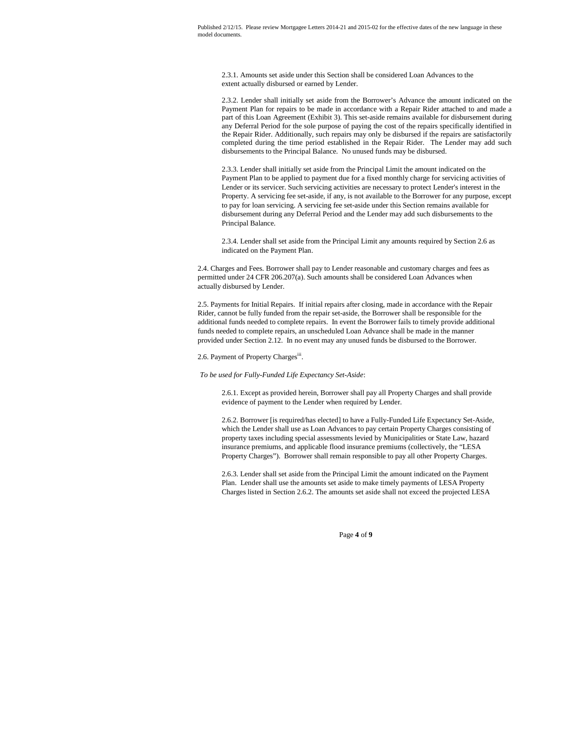2.3.1. Amounts set aside under this Section shall be considered Loan Advances to the extent actually disbursed or earned by Lender.

2.3.2. Lender shall initially set aside from the Borrower's Advance the amount indicated on the Payment Plan for repairs to be made in accordance with a Repair Rider attached to and made a part of this Loan Agreement (Exhibit 3). This set-aside remains available for disbursement during any Deferral Period for the sole purpose of paying the cost of the repairs specifically identified in the Repair Rider. Additionally, such repairs may only be disbursed if the repairs are satisfactorily completed during the time period established in the Repair Rider. The Lender may add such disbursements to the Principal Balance. No unused funds may be disbursed.

2.3.3. Lender shall initially set aside from the Principal Limit the amount indicated on the Payment Plan to be applied to payment due for a fixed monthly charge for servicing activities of Lender or its servicer. Such servicing activities are necessary to protect Lender's interest in the Property. A servicing fee set-aside, if any, is not available to the Borrower for any purpose, except to pay for loan servicing. A servicing fee set-aside under this Section remains available for disbursement during any Deferral Period and the Lender may add such disbursements to the Principal Balance.

2.3.4. Lender shall set aside from the Principal Limit any amounts required by Section 2.6 as indicated on the Payment Plan.

2.4. Charges and Fees. Borrower shall pay to Lender reasonable and customary charges and fees as permitted under 24 CFR 206.207(a). Such amounts shall be considered Loan Advances when actually disbursed by Lender.

2.5. Payments for Initial Repairs. If initial repairs after closing, made in accordance with the Repair Rider, cannot be fully funded from the repair set-aside, the Borrower shall be responsible for the additional funds needed to complete repairs. In event the Borrower fails to timely provide additional funds needed to complete repairs, an unscheduled Loan Advance shall be made in the manner provided under Section 2.12. In no event may any unused funds be disbursed to the Borrower.

2.6. Payment of Property Chargesiii.

*To be used for Fully-Funded Life Expectancy Set-Aside*:

2.6.1. Except as provided herein, Borrower shall pay all Property Charges and shall provide evidence of payment to the Lender when required by Lender.

2.6.2. Borrower [is required/has elected] to have a Fully-Funded Life Expectancy Set-Aside, which the Lender shall use as Loan Advances to pay certain Property Charges consisting of property taxes including special assessments levied by Municipalities or State Law, hazard insurance premiums, and applicable flood insurance premiums (collectively, the "LESA Property Charges"). Borrower shall remain responsible to pay all other Property Charges.

2.6.3. Lender shall set aside from the Principal Limit the amount indicated on the Payment Plan. Lender shall use the amounts set aside to make timely payments of LESA Property Charges listed in Section 2.6.2. The amounts set aside shall not exceed the projected LESA

Page **4** of **9**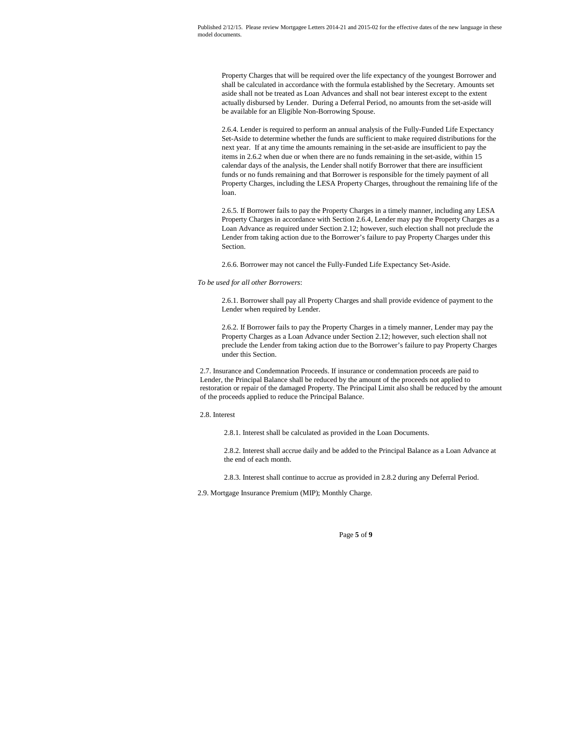Property Charges that will be required over the life expectancy of the youngest Borrower and shall be calculated in accordance with the formula established by the Secretary. Amounts set aside shall not be treated as Loan Advances and shall not bear interest except to the extent actually disbursed by Lender. During a Deferral Period, no amounts from the set-aside will be available for an Eligible Non-Borrowing Spouse.

2.6.4. Lender is required to perform an annual analysis of the Fully-Funded Life Expectancy Set-Aside to determine whether the funds are sufficient to make required distributions for the next year. If at any time the amounts remaining in the set-aside are insufficient to pay the items in 2.6.2 when due or when there are no funds remaining in the set-aside, within 15 calendar days of the analysis, the Lender shall notify Borrower that there are insufficient funds or no funds remaining and that Borrower is responsible for the timely payment of all Property Charges, including the LESA Property Charges, throughout the remaining life of the loan.

2.6.5. If Borrower fails to pay the Property Charges in a timely manner, including any LESA Property Charges in accordance with Section 2.6.4, Lender may pay the Property Charges as a Loan Advance as required under Section 2.12; however, such election shall not preclude the Lender from taking action due to the Borrower's failure to pay Property Charges under this Section.

2.6.6. Borrower may not cancel the Fully-Funded Life Expectancy Set-Aside.

### *To be used for all other Borrowers*:

2.6.1. Borrower shall pay all Property Charges and shall provide evidence of payment to the Lender when required by Lender.

2.6.2. If Borrower fails to pay the Property Charges in a timely manner, Lender may pay the Property Charges as a Loan Advance under Section 2.12; however, such election shall not preclude the Lender from taking action due to the Borrower's failure to pay Property Charges under this Section.

2.7. Insurance and Condemnation Proceeds. If insurance or condemnation proceeds are paid to Lender, the Principal Balance shall be reduced by the amount of the proceeds not applied to restoration or repair of the damaged Property. The Principal Limit also shall be reduced by the amount of the proceeds applied to reduce the Principal Balance.

### 2.8. Interest

2.8.1. Interest shall be calculated as provided in the Loan Documents.

2.8.2. Interest shall accrue daily and be added to the Principal Balance as a Loan Advance at the end of each month.

2.8.3. Interest shall continue to accrue as provided in 2.8.2 during any Deferral Period.

2.9. Mortgage Insurance Premium (MIP); Monthly Charge.

## Page **5** of **9**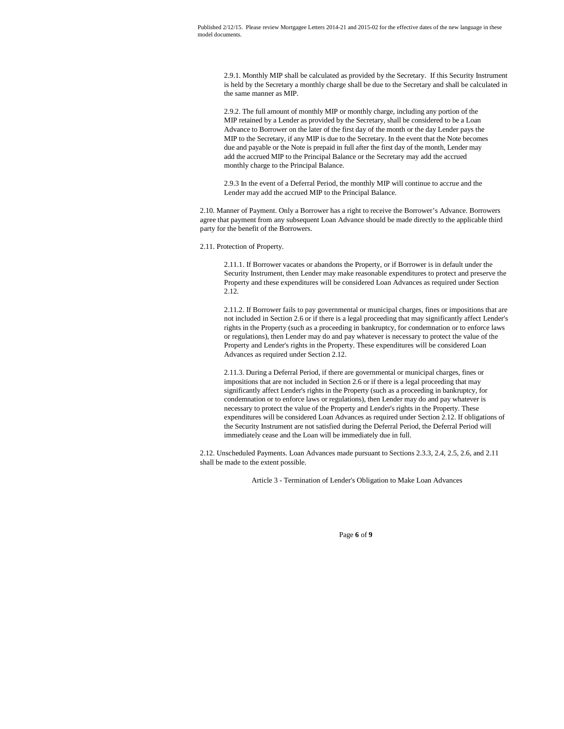2.9.1. Monthly MIP shall be calculated as provided by the Secretary. If this Security Instrument is held by the Secretary a monthly charge shall be due to the Secretary and shall be calculated in the same manner as MIP.

2.9.2. The full amount of monthly MIP or monthly charge, including any portion of the MIP retained by a Lender as provided by the Secretary, shall be considered to be a Loan Advance to Borrower on the later of the first day of the month or the day Lender pays the MIP to the Secretary, if any MIP is due to the Secretary. In the event that the Note becomes due and payable or the Note is prepaid in full after the first day of the month, Lender may add the accrued MIP to the Principal Balance or the Secretary may add the accrued monthly charge to the Principal Balance.

2.9.3 In the event of a Deferral Period, the monthly MIP will continue to accrue and the Lender may add the accrued MIP to the Principal Balance.

2.10. Manner of Payment. Only a Borrower has a right to receive the Borrower's Advance. Borrowers agree that payment from any subsequent Loan Advance should be made directly to the applicable third party for the benefit of the Borrowers.

2.11. Protection of Property.

2.11.1. If Borrower vacates or abandons the Property, or if Borrower is in default under the Security Instrument, then Lender may make reasonable expenditures to protect and preserve the Property and these expenditures will be considered Loan Advances as required under Section 2.12.

2.11.2. If Borrower fails to pay governmental or municipal charges, fines or impositions that are not included in Section 2.6 or if there is a legal proceeding that may significantly affect Lender's rights in the Property (such as a proceeding in bankruptcy, for condemnation or to enforce laws or regulations), then Lender may do and pay whatever is necessary to protect the value of the Property and Lender's rights in the Property. These expenditures will be considered Loan Advances as required under Section 2.12.

2.11.3. During a Deferral Period, if there are governmental or municipal charges, fines or impositions that are not included in Section 2.6 or if there is a legal proceeding that may significantly affect Lender's rights in the Property (such as a proceeding in bankruptcy, for condemnation or to enforce laws or regulations), then Lender may do and pay whatever is necessary to protect the value of the Property and Lender's rights in the Property. These expenditures will be considered Loan Advances as required under Section 2.12. If obligations of the Security Instrument are not satisfied during the Deferral Period, the Deferral Period will immediately cease and the Loan will be immediately due in full.

2.12. Unscheduled Payments. Loan Advances made pursuant to Sections 2.3.3, 2.4, 2.5, 2.6, and 2.11 shall be made to the extent possible.

Article 3 - Termination of Lender's Obligation to Make Loan Advances

Page **6** of **9**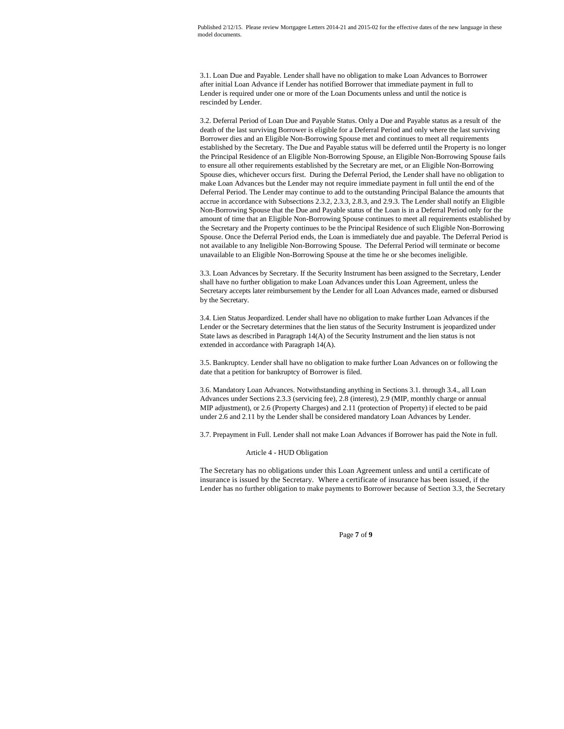3.1. Loan Due and Payable. Lender shall have no obligation to make Loan Advances to Borrower after initial Loan Advance if Lender has notified Borrower that immediate payment in full to Lender is required under one or more of the Loan Documents unless and until the notice is rescinded by Lender.

3.2. Deferral Period of Loan Due and Payable Status. Only a Due and Payable status as a result of the death of the last surviving Borrower is eligible for a Deferral Period and only where the last surviving Borrower dies and an Eligible Non-Borrowing Spouse met and continues to meet all requirements established by the Secretary. The Due and Payable status will be deferred until the Property is no longer the Principal Residence of an Eligible Non-Borrowing Spouse, an Eligible Non-Borrowing Spouse fails to ensure all other requirements established by the Secretary are met, or an Eligible Non-Borrowing Spouse dies, whichever occurs first. During the Deferral Period, the Lender shall have no obligation to make Loan Advances but the Lender may not require immediate payment in full until the end of the Deferral Period. The Lender may continue to add to the outstanding Principal Balance the amounts that accrue in accordance with Subsections 2.3.2, 2.3.3, 2.8.3, and 2.9.3. The Lender shall notify an Eligible Non-Borrowing Spouse that the Due and Payable status of the Loan is in a Deferral Period only for the amount of time that an Eligible Non-Borrowing Spouse continues to meet all requirements established by the Secretary and the Property continues to be the Principal Residence of such Eligible Non-Borrowing Spouse. Once the Deferral Period ends, the Loan is immediately due and payable. The Deferral Period is not available to any Ineligible Non-Borrowing Spouse. The Deferral Period will terminate or become unavailable to an Eligible Non-Borrowing Spouse at the time he or she becomes ineligible.

3.3. Loan Advances by Secretary. If the Security Instrument has been assigned to the Secretary, Lender shall have no further obligation to make Loan Advances under this Loan Agreement, unless the Secretary accepts later reimbursement by the Lender for all Loan Advances made, earned or disbursed by the Secretary.

3.4. Lien Status Jeopardized. Lender shall have no obligation to make further Loan Advances if the Lender or the Secretary determines that the lien status of the Security Instrument is jeopardized under State laws as described in Paragraph 14(A) of the Security Instrument and the lien status is not extended in accordance with Paragraph 14(A).

3.5. Bankruptcy. Lender shall have no obligation to make further Loan Advances on or following the date that a petition for bankruptcy of Borrower is filed.

3.6. Mandatory Loan Advances. Notwithstanding anything in Sections 3.1. through 3.4., all Loan Advances under Sections 2.3.3 (servicing fee), 2.8 (interest), 2.9 (MIP, monthly charge or annual MIP adjustment), or 2.6 (Property Charges) and 2.11 (protection of Property) if elected to be paid under 2.6 and 2.11 by the Lender shall be considered mandatory Loan Advances by Lender.

3.7. Prepayment in Full. Lender shall not make Loan Advances if Borrower has paid the Note in full.

Article 4 - HUD Obligation

The Secretary has no obligations under this Loan Agreement unless and until a certificate of insurance is issued by the Secretary. Where a certificate of insurance has been issued, if the Lender has no further obligation to make payments to Borrower because of Section 3.3, the Secretary

Page **7** of **9**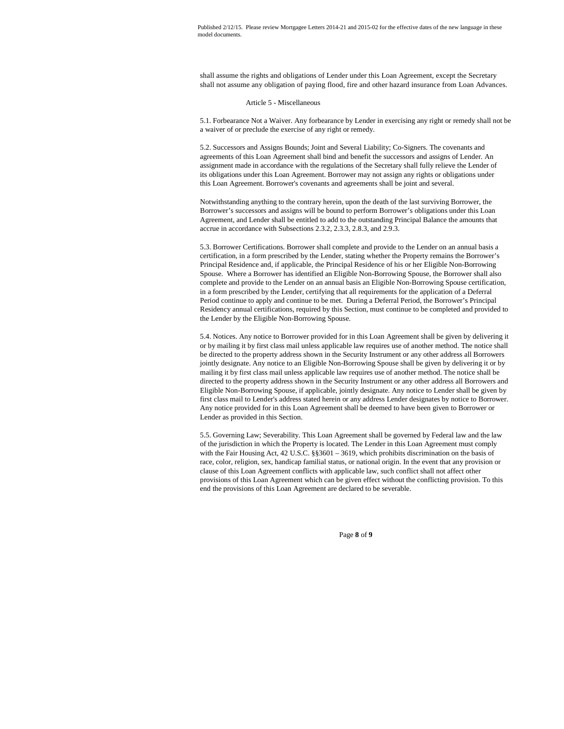shall assume the rights and obligations of Lender under this Loan Agreement, except the Secretary shall not assume any obligation of paying flood, fire and other hazard insurance from Loan Advances.

#### Article 5 - Miscellaneous

5.1. Forbearance Not a Waiver. Any forbearance by Lender in exercising any right or remedy shall not be a waiver of or preclude the exercise of any right or remedy.

5.2. Successors and Assigns Bounds; Joint and Several Liability; Co-Signers. The covenants and agreements of this Loan Agreement shall bind and benefit the successors and assigns of Lender. An assignment made in accordance with the regulations of the Secretary shall fully relieve the Lender of its obligations under this Loan Agreement. Borrower may not assign any rights or obligations under this Loan Agreement. Borrower's covenants and agreements shall be joint and several.

Notwithstanding anything to the contrary herein, upon the death of the last surviving Borrower, the Borrower's successors and assigns will be bound to perform Borrower's obligations under this Loan Agreement, and Lender shall be entitled to add to the outstanding Principal Balance the amounts that accrue in accordance with Subsections 2.3.2, 2.3.3, 2.8.3, and 2.9.3.

5.3. Borrower Certifications. Borrower shall complete and provide to the Lender on an annual basis a certification, in a form prescribed by the Lender, stating whether the Property remains the Borrower's Principal Residence and, if applicable, the Principal Residence of his or her Eligible Non-Borrowing Spouse. Where a Borrower has identified an Eligible Non-Borrowing Spouse, the Borrower shall also complete and provide to the Lender on an annual basis an Eligible Non-Borrowing Spouse certification, in a form prescribed by the Lender, certifying that all requirements for the application of a Deferral Period continue to apply and continue to be met. During a Deferral Period, the Borrower's Principal Residency annual certifications, required by this Section, must continue to be completed and provided to the Lender by the Eligible Non-Borrowing Spouse.

5.4. Notices. Any notice to Borrower provided for in this Loan Agreement shall be given by delivering it or by mailing it by first class mail unless applicable law requires use of another method. The notice shall be directed to the property address shown in the Security Instrument or any other address all Borrowers jointly designate. Any notice to an Eligible Non-Borrowing Spouse shall be given by delivering it or by mailing it by first class mail unless applicable law requires use of another method. The notice shall be directed to the property address shown in the Security Instrument or any other address all Borrowers and Eligible Non-Borrowing Spouse, if applicable, jointly designate. Any notice to Lender shall be given by first class mail to Lender's address stated herein or any address Lender designates by notice to Borrower. Any notice provided for in this Loan Agreement shall be deemed to have been given to Borrower or Lender as provided in this Section.

5.5. Governing Law; Severability. This Loan Agreement shall be governed by Federal law and the law of the jurisdiction in which the Property is located. The Lender in this Loan Agreement must comply with the Fair Housing Act, 42 U.S.C. §§3601 – 3619, which prohibits discrimination on the basis of race, color, religion, sex, handicap familial status, or national origin. In the event that any provision or clause of this Loan Agreement conflicts with applicable law, such conflict shall not affect other provisions of this Loan Agreement which can be given effect without the conflicting provision. To this end the provisions of this Loan Agreement are declared to be severable.

Page **8** of **9**